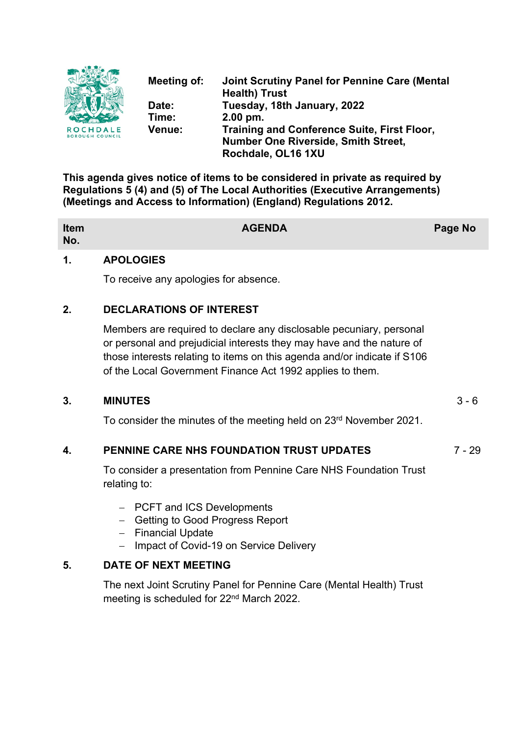

**Meeting of: Joint Scrutiny Panel for Pennine Care (Mental Health) Trust Date: Tuesday, 18th January, 2022 Time: 2.00 pm. Venue: Training and Conference Suite, First Floor, Number One Riverside, Smith Street, Rochdale, OL16 1XU**

**This agenda gives notice of items to be considered in private as required by Regulations 5 (4) and (5) of The Local Authorities (Executive Arrangements) (Meetings and Access to Information) (England) Regulations 2012.**

| Item<br>No. | <b>AGENDA</b> | Page No |
|-------------|---------------|---------|
|             |               |         |

#### **1. APOLOGIES**

To receive any apologies for absence.

# **2. DECLARATIONS OF INTEREST**

Members are required to declare any disclosable pecuniary, personal or personal and prejudicial interests they may have and the nature of those interests relating to items on this agenda and/or indicate if S106 of the Local Government Finance Act 1992 applies to them.

#### **3. MINUTES** 3 - 6

To consider the minutes of the meeting held on 23rd November 2021.

# **4. PENNINE CARE NHS FOUNDATION TRUST UPDATES** 7 - 29

To consider a presentation from Pennine Care NHS Foundation Trust relating to:

- PCFT and ICS Developments
- Getting to Good Progress Report
- $-$  Financial Update
- Impact of Covid-19 on Service Delivery

# **5. DATE OF NEXT MEETING**

The next Joint Scrutiny Panel for Pennine Care (Mental Health) Trust meeting is scheduled for 22nd March 2022.